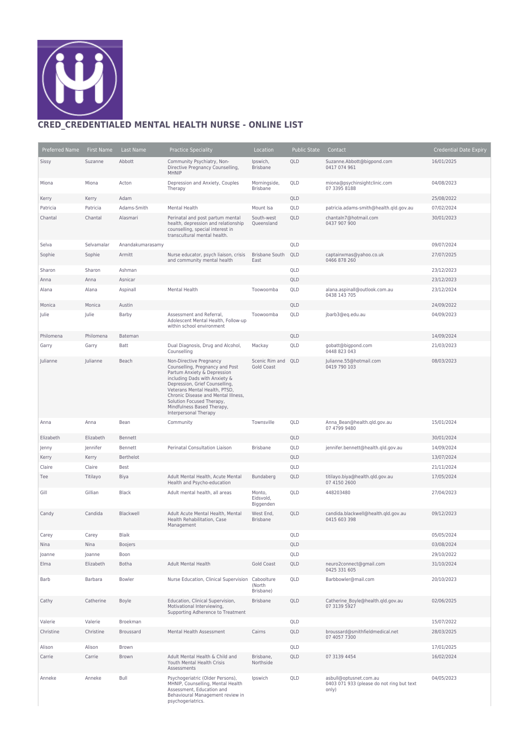

## **CRED\_CREDENTIALED MENTAL HEALTH NURSE - ONLINE LIST**

| Preferred Name | First Name | Last Name        | <b>Practice Speciality</b>                                                                                                                                                                                                                                                                                               | Location                            | <b>Public State</b> | Contact                                                                      | <b>Credential Date Expiry</b> |
|----------------|------------|------------------|--------------------------------------------------------------------------------------------------------------------------------------------------------------------------------------------------------------------------------------------------------------------------------------------------------------------------|-------------------------------------|---------------------|------------------------------------------------------------------------------|-------------------------------|
| Sissy          | Suzanne    | Abbott           | Community Psychiatry, Non-<br>Directive Pregnancy Counselling,<br>MHNIP                                                                                                                                                                                                                                                  | Ipswich,<br><b>Brisbane</b>         | QLD                 | Suzanne.Abbott@bigpond.com<br>0417 074 961                                   | 16/01/2025                    |
| Miona          | Miona      | Acton            | Depression and Anxiety, Couples<br>Therapy                                                                                                                                                                                                                                                                               | Morningside,<br>Brisbane            | QLD                 | miona@psychinsightclinic.com<br>07 3395 8188                                 | 04/08/2023                    |
| Kerry          | Kerry      | Adam             |                                                                                                                                                                                                                                                                                                                          |                                     | QLD                 |                                                                              | 25/08/2022                    |
| Patricia       | Patricia   | Adams-Smith      | Mental Health                                                                                                                                                                                                                                                                                                            | Mount Isa                           | QLD                 | patricia.adams-smith@health.gld.gov.au                                       | 07/02/2024                    |
| Chantal        | Chantal    | Alasmari         | Perinatal and post partum mental<br>health, depression and relationship<br>counselling, special interest in<br>transcultural mental health.                                                                                                                                                                              | South-west<br>Queensland            | QLD                 | chantaln7@hotmail.com<br>0437 907 900                                        | 30/01/2023                    |
| Selva          | Selvamalar | Anandakumarasamy |                                                                                                                                                                                                                                                                                                                          |                                     | QLD                 |                                                                              | 09/07/2024                    |
| Sophie         | Sophie     | Armitt           | Nurse educator, psych liaison, crisis<br>and community mental health                                                                                                                                                                                                                                                     | <b>Brisbane South</b><br>East       | QLD                 | captainxmas@yahoo.co.uk<br>0466 878 260                                      | 27/07/2025                    |
| Sharon         | Sharon     | Ashman           |                                                                                                                                                                                                                                                                                                                          |                                     | QLD                 |                                                                              | 23/12/2023                    |
| Anna           | Anna       | Asnicar          |                                                                                                                                                                                                                                                                                                                          |                                     | QLD                 |                                                                              | 23/12/2023                    |
| Alana          | Alana      | Aspinall         | Mental Health                                                                                                                                                                                                                                                                                                            | Toowoomba                           | QLD                 | alana.aspinall@outlook.com.au<br>0438 143 705                                | 23/12/2024                    |
| Monica         | Monica     | Austin           |                                                                                                                                                                                                                                                                                                                          |                                     | QLD                 |                                                                              | 24/09/2022                    |
| Julie          | Julie      | Barby            | Assessment and Referral,<br>Adolescent Mental Health, Follow-up<br>within school environment                                                                                                                                                                                                                             | Toowoomba                           | QLD                 | jbarb3@eq.edu.au                                                             | 04/09/2023                    |
| Philomena      | Philomena  | Bateman          |                                                                                                                                                                                                                                                                                                                          |                                     | QLD                 |                                                                              | 14/09/2024                    |
| Garry          | Garry      | Batt             | Dual Diagnosis, Drug and Alcohol,<br>Counselling                                                                                                                                                                                                                                                                         | Mackay                              | QLD                 | gobatt@bigpond.com<br>0448 823 043                                           | 21/03/2023                    |
| Julianne       | Julianne   | Beach            | Non-Directive Pregnancy<br>Counselling, Pregnancy and Post<br>Partum Anxiety & Depression<br>including Dads with Anxiety &<br>Depression, Grief Counselling,<br>Veterans Mental Health, PTSD,<br>Chronic Disease and Mental Illness,<br>Solution Focused Therapy,<br>Mindfulness Based Therapy,<br>Interpersonal Therapy | Scenic Rim and<br><b>Gold Coast</b> | QLD                 | Julianne.55@hotmail.com<br>0419 790 103                                      | 08/03/2023                    |
| Anna           | Anna       | Bean             | Community                                                                                                                                                                                                                                                                                                                | Townsville                          | QLD                 | Anna Bean@health.qld.gov.au<br>07 4799 9480                                  | 15/01/2024                    |
| Elizabeth      | Elizabeth  | Bennett          |                                                                                                                                                                                                                                                                                                                          |                                     | QLD                 |                                                                              | 30/01/2024                    |
| Jenny          | Jennifer   | Bennett          | Perinatal Consultation Liaison                                                                                                                                                                                                                                                                                           | <b>Brisbane</b>                     | QLD                 | jennifer.bennett@health.qld.gov.au                                           | 14/09/2024                    |
| Kerry          | Kerry      | Berthelot        |                                                                                                                                                                                                                                                                                                                          |                                     | QLD                 |                                                                              | 13/07/2024                    |
| Claire         | Claire     | Best             |                                                                                                                                                                                                                                                                                                                          |                                     | QLD                 |                                                                              | 21/11/2024                    |
| Tee            | Titilayo   | Biya             | Adult Mental Health, Acute Mental<br>Health and Psycho-education                                                                                                                                                                                                                                                         | Bundaberg                           | QLD                 | titilayo.biya@health.qld.gov.au<br>07 4150 2600                              | 17/05/2024                    |
| Gill           | Gillian    | Black            | Adult mental health, all areas                                                                                                                                                                                                                                                                                           | Monto,<br>Eidsvold,<br>Biggenden    | QLD                 | 448203480                                                                    | 27/04/2023                    |
| Candy          | Candida    | Blackwell        | Adult Acute Mental Health, Mental<br>Health Rehabilitation, Case<br>Management                                                                                                                                                                                                                                           | West End,<br><b>Brisbane</b>        | QLD                 | candida.blackwell@health.qld.gov.au<br>0415 603 398                          | 09/12/2023                    |
| Carey          | Carey      | <b>Blaik</b>     |                                                                                                                                                                                                                                                                                                                          |                                     | QLD                 |                                                                              | 05/05/2024                    |
| Nina           | Nina       | Boojers          |                                                                                                                                                                                                                                                                                                                          |                                     | QLD                 |                                                                              | 03/08/2024                    |
| Joanne         | Joanne     | Boon             |                                                                                                                                                                                                                                                                                                                          |                                     | QLD                 |                                                                              | 29/10/2022                    |
| Elma           | Elizabeth  | Botha            | <b>Adult Mental Health</b>                                                                                                                                                                                                                                                                                               | <b>Gold Coast</b>                   | QLD                 | neuro2connect@gmail.com<br>0425 331 605                                      | 31/10/2024                    |
| Barb           | Barbara    | Bowler           | Nurse Education, Clinical Supervision                                                                                                                                                                                                                                                                                    | Caboolture<br>(North<br>Brisbane)   | QLD                 | Barbbowler@mail.com                                                          | 20/10/2023                    |
| Cathy          | Catherine  | Boyle            | Education, Clinical Supervision,<br>Motivational Interviewing,<br>Supporting Adherence to Treatment                                                                                                                                                                                                                      | Brisbane                            | QLD                 | Catherine Boyle@health.qld.gov.au<br>07 3139 5927                            | 02/06/2025                    |
| Valerie        | Valerie    | Broekman         |                                                                                                                                                                                                                                                                                                                          |                                     | QLD                 |                                                                              | 15/07/2022                    |
| Christine      | Christine  | Broussard        | Mental Health Assessment                                                                                                                                                                                                                                                                                                 | Cairns                              | QLD                 | broussard@smithfieldmedical.net<br>07 4057 7300                              | 28/03/2025                    |
| Alison         | Alison     | Brown            |                                                                                                                                                                                                                                                                                                                          |                                     | QLD                 |                                                                              | 17/01/2025                    |
| Carrie         | Carrie     | Brown            | Adult Mental Health & Child and<br>Youth Mental Health Crisis<br>Assessments                                                                                                                                                                                                                                             | Brisbane,<br>Northside              | QLD                 | 07 3139 4454                                                                 | 16/02/2024                    |
| Anneke         | Anneke     | Bull             | Psychogeriatric (Older Persons),<br>MHNIP, Counselling, Mental Health<br>Assessment, Education and<br>Behavioural Management review in<br>psychogeriatrics.                                                                                                                                                              | Ipswich                             | QLD                 | asbull@optusnet.com.au<br>0403 071 933 (please do not ring but text<br>only) | 04/05/2023                    |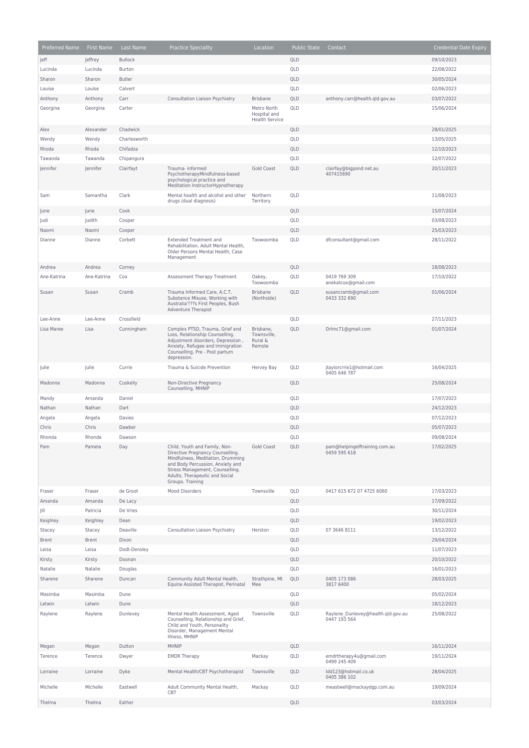| Preferred Name        | First Name     | Last Name             | <b>Practice Speciality</b>                                                                                                                                                                                                          | Location                                             | <b>Public State</b> | Contact                                            | <b>Credential Date Expiry</b> |
|-----------------------|----------------|-----------------------|-------------------------------------------------------------------------------------------------------------------------------------------------------------------------------------------------------------------------------------|------------------------------------------------------|---------------------|----------------------------------------------------|-------------------------------|
| Jeff                  | Jeffrey        | <b>Bullock</b>        |                                                                                                                                                                                                                                     |                                                      | QLD                 |                                                    | 09/10/2023                    |
| Lucinda               | Lucinda        | Burton                |                                                                                                                                                                                                                                     |                                                      | QLD                 |                                                    | 22/08/2022                    |
| Sharon                | Sharon         | <b>Butler</b>         |                                                                                                                                                                                                                                     |                                                      | QLD                 |                                                    | 30/05/2024                    |
| Louise                | Louise         | Calvert               |                                                                                                                                                                                                                                     |                                                      | QLD                 |                                                    | 02/06/2023                    |
| Anthony               | Anthony        | Carr                  | Consultation Liaison Psychiatry                                                                                                                                                                                                     | <b>Brisbane</b>                                      | QLD                 | anthony.carr@health.qld.gov.au                     | 03/07/2022                    |
| Georgina              | Georgina       | Carter                |                                                                                                                                                                                                                                     | Metro North<br>Hospital and<br><b>Health Service</b> | QLD                 |                                                    | 15/06/2024                    |
| Alex                  | Alexander      | Chadwick              |                                                                                                                                                                                                                                     |                                                      | QLD                 |                                                    | 28/01/2025                    |
| Wendy                 | Wendy          | Charlesworth          |                                                                                                                                                                                                                                     |                                                      | QLD                 |                                                    | 13/05/2025                    |
| Rhoda                 | Rhoda          | Chifadza              |                                                                                                                                                                                                                                     |                                                      | QLD                 |                                                    | 12/10/2023                    |
| Tawanda               | Tawanda        | Chipangura            |                                                                                                                                                                                                                                     |                                                      | QLD                 |                                                    | 12/07/2022                    |
| Jennifer              | Jennifer       | Clairfayt             | Trauma- informed<br>PsychotherapyMindfulness-based<br>psychological practice and<br>Meditation InstructorHypnotherapy                                                                                                               | <b>Gold Coast</b>                                    | QLD                 | clairfay@bigpond.net.au<br>407415690               | 20/11/2023                    |
| Sam                   | Samantha       | Clark                 | Mental health and alcohol and other<br>drugs (dual diagnosis)                                                                                                                                                                       | Northern<br>Territory                                | QLD                 |                                                    | 11/08/2023                    |
| June                  | June           | Cook                  |                                                                                                                                                                                                                                     |                                                      | QLD                 |                                                    | 15/07/2024                    |
| Judi                  | Judith         | Cooper                |                                                                                                                                                                                                                                     |                                                      | QLD                 |                                                    | 03/08/2023                    |
| Naomi                 | Naomi          | Cooper                |                                                                                                                                                                                                                                     |                                                      | QLD                 |                                                    | 25/03/2023                    |
| Dianne                | Dianne         | Corbett               | <b>Extended Treatment and</b><br>Rehabilitation, Adult Mental Health,<br>Older Persons Mental Health, Case<br>Management                                                                                                            | Toowoomba                                            | QLD                 | dfconsultant@gmail.com                             | 28/11/2022                    |
| Andrea                | Andrea         | Corney                |                                                                                                                                                                                                                                     |                                                      | QLD                 |                                                    | 18/08/2023                    |
| Ane-Katrina           | Ane-Katrina    | Cox                   | Assessment Therapy Treatment                                                                                                                                                                                                        | Oakey,<br>Toowoomba                                  | QLD                 | 0419 769 309<br>anekatcox@qmail.com                | 17/10/2022                    |
| Susan                 | Susan          | Cramb                 | Trauma Informed Care, A.C.T,<br>Substance Misuse, Working with<br>Australia'???s First Peoples, Bush<br><b>Adventure Therapist</b>                                                                                                  | <b>Brisbane</b><br>(Northside)                       | QLD                 | susancramb@gmail.com<br>0433 332 690               | 01/06/2024                    |
| Lee-Anne              | Lee-Anne       | Crossfield            |                                                                                                                                                                                                                                     |                                                      | QLD                 |                                                    | 27/11/2023                    |
| Lisa Maree            | Lisa           | Cunningham            | Complex PTSD, Trauma, Grief and<br>Loss, Relationship Counselling.<br>Adjustment disorders, Depression,<br>Anxiety, Refugee and Immigration<br>Counselling, Pre - Post partum<br>depression.                                        | Brisbane,<br>Townsville,<br>Rural &<br>Remote        | QLD                 | Drlmc71@gmail.com                                  | 01/07/2024                    |
| Julie                 | Julie          | Currie                | Trauma & Suicide Prevention                                                                                                                                                                                                         | Hervey Bay                                           | QLD                 | jtaylorcrrie1@hotmail.com<br>0405 646 787          | 16/04/2025                    |
| Madonna               | Madonna        | Cuskelly              | Non-Directive Pregnancy<br>Counselling, MHNIP                                                                                                                                                                                       |                                                      | QLD                 |                                                    | 25/08/2024                    |
| Mandy                 | Amanda         | Daniel                |                                                                                                                                                                                                                                     |                                                      | QLD                 |                                                    | 17/07/2023                    |
| Nathan                | Nathan         | Dart                  |                                                                                                                                                                                                                                     |                                                      | QLD                 |                                                    | 24/12/2023                    |
| Angela                | Angela         | Davies                |                                                                                                                                                                                                                                     |                                                      | QLD                 |                                                    | 07/12/2023                    |
| Chris                 | Chris          | Dawber                |                                                                                                                                                                                                                                     |                                                      | QLD                 |                                                    | 05/07/2023                    |
| Rhonda                | Rhonda         | Dawson                |                                                                                                                                                                                                                                     |                                                      | QLD                 |                                                    | 09/08/2024                    |
| Pam                   | Pamela         | Day                   | Child, Youth and Family, Non-<br>Directive Pregnancy Counselling.<br>Mindfulness, Meditation, Drumming<br>and Body Percussion, Anxiety and<br>Stress Management, Counselling.<br>Adults, Therapeutic and Social<br>Groups. Training | Gold Coast                                           | QLD                 | pam@helpingelftraining.com.au<br>0459 595 618      | 17/02/2025                    |
| Fraser                | Fraser         | de Groot              | Mood Disorders                                                                                                                                                                                                                      | Townsville                                           | QLD                 | 0417 615 672 07 4725 6060                          | 17/03/2023                    |
| Amanda                | Amanda         | De Lacy               |                                                                                                                                                                                                                                     |                                                      | QLD                 |                                                    | 17/09/2022                    |
| Jill                  | Patricia       | De Vries              |                                                                                                                                                                                                                                     |                                                      | QLD                 |                                                    | 30/11/2024                    |
| Keighley              | Keighley       | Dean                  |                                                                                                                                                                                                                                     |                                                      | QLD                 |                                                    | 19/02/2023                    |
| Stacey                | Stacey         | Deaville              | Consultation Liaison Psychiatry                                                                                                                                                                                                     | Herston                                              | QLD                 | 07 3646 8111                                       | 13/12/2022                    |
| <b>Brent</b><br>Leisa | Brent<br>Leisa | Dixon<br>Dodt-Densley |                                                                                                                                                                                                                                     |                                                      | QLD<br>QLD          |                                                    | 29/04/2024<br>11/07/2023      |
| Kirsty                | Kirsty         | Doonan                |                                                                                                                                                                                                                                     |                                                      | QLD                 |                                                    | 20/10/2022                    |
| Natalie               | Natalie        | Douglas               |                                                                                                                                                                                                                                     |                                                      | QLD                 |                                                    | 16/01/2023                    |
| Sharene               | Sharene        | Duncan                | Community Adult Mental Health,                                                                                                                                                                                                      | Strathpine, Mt                                       | QLD                 | 0405 173 086                                       | 28/03/2025                    |
| Masimba               | Masimba        | Dune                  | Equine Assisted Therapist, Perinatal                                                                                                                                                                                                | Mee                                                  | QLD                 | 3817 6400                                          | 05/02/2024                    |
| Letwin                | Letwin         | Dune                  |                                                                                                                                                                                                                                     |                                                      | QLD                 |                                                    | 18/12/2023                    |
| Raylene               | Raylene        | Dunlevey              | Mental Health Assessment, Aged<br>Counselling, Relationship and Grief,<br>Child and Youth, Personality<br>Disorder, Management Mental<br>Illness, MHNIP                                                                             | Townsville                                           | QLD                 | Raylene Dunlevey@health.qld.gov.au<br>0447 193 564 | 25/08/2022                    |
| Megan                 | Megan          | Dutton                | <b>MHNIP</b>                                                                                                                                                                                                                        |                                                      | QLD                 |                                                    | 16/11/2024                    |
| Terence               | Terence        | Dwyer                 | <b>EMDR Therapy</b>                                                                                                                                                                                                                 | Mackay                                               | QLD                 | emdrtherapy4u@gmail.com<br>0499 245 409            | 19/11/2024                    |
| Lorraine              | Lorraine       | Dyke                  | Mental Health/CBT Psychotherapist                                                                                                                                                                                                   | Townsville                                           | QLD                 | Idd123@hotmail.co.uk<br>0405 386 102               | 28/04/2025                    |
| Michelle              | Michelle       | Eastwell              | Adult Community Mental Health,<br>CBT                                                                                                                                                                                               | Mackay                                               | QLD                 | meastwell@mackaydgp.com.au                         | 19/09/2024                    |
| Thelma                | Thelma         | Eather                |                                                                                                                                                                                                                                     |                                                      | QLD                 |                                                    | 03/03/2024                    |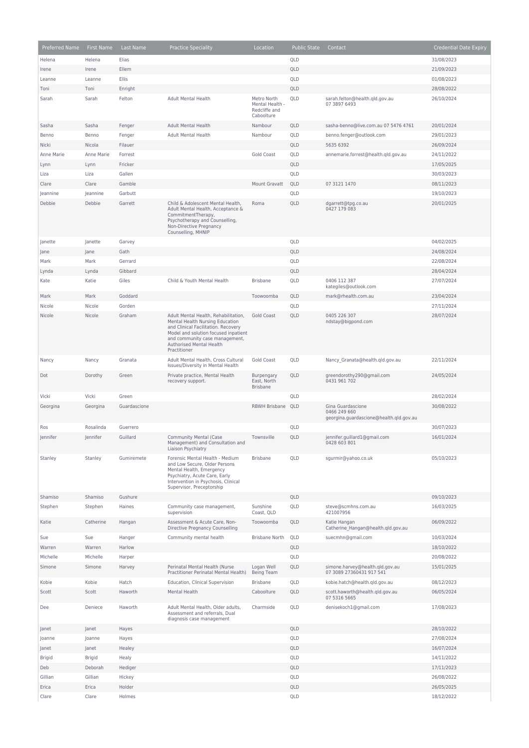| Preferred Name | <b>First Name</b> | Last Name    | <b>Practice Speciality</b>                                                                                                                                                                                                           | Location                                                      | <b>Public State</b> | Contact                                                                      | <b>Credential Date Expiry</b> |
|----------------|-------------------|--------------|--------------------------------------------------------------------------------------------------------------------------------------------------------------------------------------------------------------------------------------|---------------------------------------------------------------|---------------------|------------------------------------------------------------------------------|-------------------------------|
| Helena         | Helena            | Elias        |                                                                                                                                                                                                                                      |                                                               | QLD                 |                                                                              | 31/08/2023                    |
| Irene          | Irene             | Ellem        |                                                                                                                                                                                                                                      |                                                               | QLD                 |                                                                              | 21/09/2023                    |
| Leanne         | Leanne            | Ellis        |                                                                                                                                                                                                                                      |                                                               | QLD                 |                                                                              | 01/08/2023                    |
| Toni           | Toni              | Enright      |                                                                                                                                                                                                                                      |                                                               | QLD                 |                                                                              | 28/08/2022                    |
| Sarah          | Sarah             | Felton       | Adult Mental Health                                                                                                                                                                                                                  | Metro North<br>Mental Health -<br>Redcliffe and<br>Caboolture | QLD                 | sarah.felton@health.qld.gov.au<br>07 3897 6493                               | 26/10/2024                    |
| Sasha          | Sasha             | Fenger       | <b>Adult Mental Health</b>                                                                                                                                                                                                           | Nambour                                                       | QLD                 | sasha-benno@live.com.au 07 5476 4761                                         | 20/01/2024                    |
| Benno          | Benno             | Fenger       | Adult Mental Health                                                                                                                                                                                                                  | Nambour                                                       | QLD                 | benno.fenger@outlook.com                                                     | 29/01/2023                    |
| Nicki          | Nicola            | Filauer      |                                                                                                                                                                                                                                      |                                                               | QLD                 | 5635 6392                                                                    | 26/09/2024                    |
| Anne Marie     | Anne Marie        | Forrest      |                                                                                                                                                                                                                                      | Gold Coast                                                    | QLD                 | annemarie.forrest@health.qld.gov.au                                          | 24/11/2022                    |
| Lynn           | Lynn              | Fricker      |                                                                                                                                                                                                                                      |                                                               | QLD                 |                                                                              | 17/05/2025                    |
| Liza           | Liza              | Gallen       |                                                                                                                                                                                                                                      |                                                               | QLD                 |                                                                              | 30/03/2023                    |
| Clare          | Clare             | Gamble       |                                                                                                                                                                                                                                      | Mount Gravatt                                                 | QLD                 | 07 3121 1470                                                                 | 08/11/2023                    |
| Jeannine       | Jeannine          | Garbutt      |                                                                                                                                                                                                                                      |                                                               | QLD                 |                                                                              | 19/10/2023                    |
| Debbie         | Debbie            | Garrett      | Child & Adolescent Mental Health,<br>Adult Mental Health, Acceptance &<br>CommitmentTherapy,<br>Psychotherapy and Counselling,<br>Non-Directive Pregnancy<br>Counselling, MHNIP                                                      | Roma                                                          | QLD                 | dgarrett@tpg.co.au<br>0427 179 083                                           | 20/01/2025                    |
| Janette        | Janette           | Garvey       |                                                                                                                                                                                                                                      |                                                               | QLD                 |                                                                              | 04/02/2025                    |
| Jane           | Jane              | Gath         |                                                                                                                                                                                                                                      |                                                               | QLD                 |                                                                              | 24/08/2024                    |
| Mark           | Mark              | Gerrard      |                                                                                                                                                                                                                                      |                                                               | QLD                 |                                                                              | 22/08/2024                    |
| Lynda          | Lynda             | Gibbard      |                                                                                                                                                                                                                                      |                                                               | QLD                 |                                                                              | 28/04/2024                    |
| Kate           | Katie             | Giles        | Child & Youth Mental Health                                                                                                                                                                                                          | <b>Brisbane</b>                                               | QLD                 | 0406 112 387<br>kategiles@outlook.com                                        | 27/07/2024                    |
| Mark           | Mark              | Goddard      |                                                                                                                                                                                                                                      | Toowoomba                                                     | QLD                 | mark@rhealth.com.au                                                          | 23/04/2024                    |
| Nicole         | Nicole            | Gorden       |                                                                                                                                                                                                                                      |                                                               | QLD                 |                                                                              | 27/11/2024                    |
| Nicole         | Nicole            | Graham       | Adult Mental Health, Rehabilitation,<br>Mental Health Nursing Education<br>and Clinical Facilitation. Recovery<br>Model and solution focused inpatient<br>and community case management,<br>Authorised Mental Health<br>Practitioner | Gold Coast                                                    | QLD                 | 0405 226 307<br>ndstay@bigpond.com                                           | 28/07/2024                    |
| Nancy          | Nancy             | Granata      | Adult Mental Health, Cross Cultural<br>Issues/Diversity in Mental Health                                                                                                                                                             | Gold Coast                                                    | QLD                 | Nancy_Granata@health.qld.gov.au                                              | 22/11/2024                    |
| Dot            | Dorothy           | Green        | Private practice, Mental Health<br>recovery support.                                                                                                                                                                                 | Burpengary<br>East, North<br><b>Brisbane</b>                  | QLD                 | greendorothy290@gmail.com<br>0431 961 702                                    | 24/05/2024                    |
| Vicki          | Vicki             | Green        |                                                                                                                                                                                                                                      |                                                               | QLD                 |                                                                              | 28/02/2024                    |
| Georgina       | Georgina          | Guardascione |                                                                                                                                                                                                                                      | RBWH Brisbane QLD                                             |                     | Gina Guardascione<br>0466 249 660<br>georgina.guardascione@health.qld.gov.au | 30/08/2022                    |
| Ros            | Rosalinda         | Guerrero     |                                                                                                                                                                                                                                      |                                                               | QLD                 |                                                                              | 30/07/2023                    |
| Jennifer       | Jennifer          | Guillard     | Community Mental (Case                                                                                                                                                                                                               | Townsville                                                    | QLD                 | jennifer.guillard1@gmail.com                                                 | 16/01/2024                    |
|                |                   |              | Management) and Consultation and<br>Liaison Psychiatry                                                                                                                                                                               |                                                               |                     | 0428 603 801                                                                 |                               |
| Stanley        | Stanley           | Gumiremete   | Forensic Mental Health - Medium<br>and Low Secure, Older Persons<br>Mental Health, Emergency<br>Psychiatry, Acute Care, Early<br>Intervention in Psychosis, Clinical<br>Supervisor, Preceptorship                                    | <b>Brisbane</b>                                               | QLD                 | sgurmir@yahoo.co.uk                                                          | 05/10/2023                    |
| Shamiso        | Shamiso           | Gushure      |                                                                                                                                                                                                                                      |                                                               | QLD                 |                                                                              | 09/10/2023                    |
| Stephen        | Stephen           | Haines       | Community case management,<br>supervision                                                                                                                                                                                            | Sunshine<br>Coast, QLD                                        | QLD                 | steve@scmhns.com.au<br>421007956                                             | 16/03/2025                    |
| Katie          | Catherine         | Hangan       | Assessment & Acute Care, Non-<br>Directive Pregnancy Counselling                                                                                                                                                                     | Toowoomba                                                     | QLD                 | Katie Hangan<br>Catherine Hangan@health.qld.gov.au                           | 06/09/2022                    |
| Sue            | Sue               | Hanger       | Community mental health                                                                                                                                                                                                              | <b>Brisbane North</b>                                         | QLD                 | suecmhn@gmail.com                                                            | 10/03/2024                    |
| Warren         | Warren            | Harlow       |                                                                                                                                                                                                                                      |                                                               | QLD                 |                                                                              | 18/10/2022                    |
| Michelle       | Michelle          | Harper       |                                                                                                                                                                                                                                      |                                                               | QLD                 |                                                                              | 20/08/2022                    |
| Simone         | Simone            | Harvey       | Perinatal Mental Health (Nurse<br>Practitioner Perinatal Mental Health)                                                                                                                                                              | Logan Well<br><b>Being Team</b>                               | QLD                 | simone.harvey@health.qld.gov.au<br>07 3089 27360431 917 541                  | 15/01/2025                    |
| Kobie          | Kobie             | Hatch        | Education, Clinical Supervision                                                                                                                                                                                                      | <b>Brisbane</b>                                               | QLD                 | kobie.hatch@health.qld.gov.au                                                | 08/12/2023                    |
| Scott          | Scott             | Haworth      | Mental Health                                                                                                                                                                                                                        | Caboolture                                                    | QLD                 | scott.haworth@health.qld.gov.au                                              | 06/05/2024                    |
|                |                   |              |                                                                                                                                                                                                                                      |                                                               |                     | 07 5316 5665                                                                 |                               |
| Dee            | Deniece           | Haworth      | Adult Mental Health, Older adults,<br>Assessment and referrals, Dual<br>diagnosis case management                                                                                                                                    | Charmside                                                     | QLD                 | denisekoch1@gmail.com                                                        | 17/08/2023                    |
| Janet          | Janet             | Hayes        |                                                                                                                                                                                                                                      |                                                               | QLD                 |                                                                              | 28/10/2022                    |
| Joanne         | Joanne            | Hayes        |                                                                                                                                                                                                                                      |                                                               | QLD                 |                                                                              | 27/08/2024                    |
| Janet          | Janet             | Healey       |                                                                                                                                                                                                                                      |                                                               | QLD                 |                                                                              | 16/07/2024                    |
| <b>Brigid</b>  | <b>Brigid</b>     | Healy        |                                                                                                                                                                                                                                      |                                                               | QLD                 |                                                                              | 14/11/2022                    |
| Deb            | Deborah           | Hediger      |                                                                                                                                                                                                                                      |                                                               | QLD                 |                                                                              | 17/11/2023                    |
| Gillian        | Gillian           | Hickey       |                                                                                                                                                                                                                                      |                                                               | QLD                 |                                                                              | 26/08/2022                    |
| Erica          | Erica             | Holder       |                                                                                                                                                                                                                                      |                                                               | QLD                 |                                                                              | 26/05/2025                    |
| Clare          | Clare             | Holmes       |                                                                                                                                                                                                                                      |                                                               | QLD                 |                                                                              | 18/12/2022                    |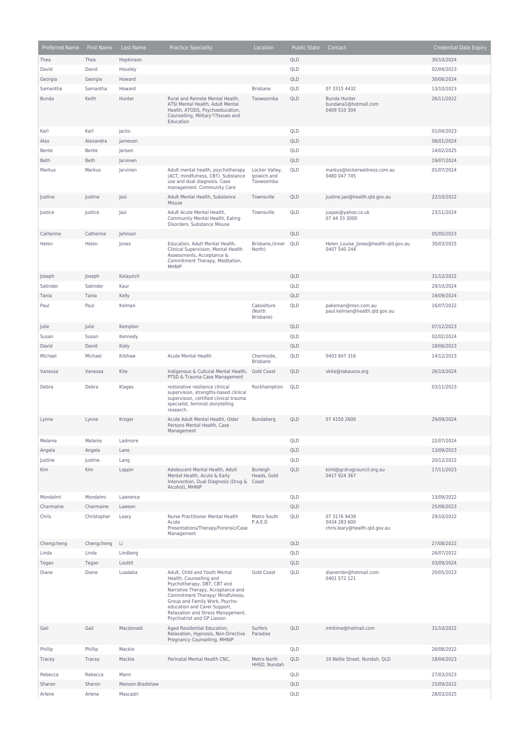| Preferred Name | First Name  | Last Name       | <b>Practice Speciality</b>                                                                                                                                                                                                                                                                             | Location                                   | <b>Public State</b> | Contact                                                       | <b>Credential Date Expiry</b> |
|----------------|-------------|-----------------|--------------------------------------------------------------------------------------------------------------------------------------------------------------------------------------------------------------------------------------------------------------------------------------------------------|--------------------------------------------|---------------------|---------------------------------------------------------------|-------------------------------|
| Thea           | Thea        | Hopkinson       |                                                                                                                                                                                                                                                                                                        |                                            | QLD                 |                                                               | 30/10/2024                    |
| David          | David       | Housley         |                                                                                                                                                                                                                                                                                                        |                                            | QLD                 |                                                               | 02/04/2023                    |
| Georgia        | Georgia     | Howard          |                                                                                                                                                                                                                                                                                                        |                                            | QLD                 |                                                               | 30/06/2024                    |
| Samantha       | Samantha    | Howard          |                                                                                                                                                                                                                                                                                                        | <b>Brisbane</b>                            | QLD                 | 07 3315 4432                                                  | 13/10/2023                    |
| <b>Bunda</b>   | Keith       | Hunter          | Rural and Remote Mental Health,<br>ATSI Mental Health, Adult Mental<br>Health, ATODS, Psychoeducation,<br>Counselling, Military'??Issues and<br>Education                                                                                                                                              | Toowoomba                                  | QLD                 | Bunda Hunter<br>bundana1@hotmail.com<br>0409 510 304          | 26/11/2022                    |
| Karl           | Karl        | Jacks           |                                                                                                                                                                                                                                                                                                        |                                            | QLD                 |                                                               | 01/04/2023                    |
| Alex           | Alexandra   | Jameson         |                                                                                                                                                                                                                                                                                                        |                                            | QLD                 |                                                               | 08/01/2024                    |
| Bente          | Bente       | Jansen          |                                                                                                                                                                                                                                                                                                        |                                            | QLD                 |                                                               | 14/02/2025                    |
| <b>Beth</b>    | <b>Beth</b> | Jarvinen        |                                                                                                                                                                                                                                                                                                        |                                            | QLD                 |                                                               | 19/07/2024                    |
| Markus         | Markus      | Jarvinen        | Adult mental health, psychotherapy<br>(ACT, mindfulness, CBT). Substance<br>use and dual diagnosis. Case<br>management. Community Care                                                                                                                                                                 | Locker Valley,<br>Ipswich and<br>Toowoomba | QLD                 | markus@lockerwellness.com.au<br>0480 047 745                  | 01/07/2024                    |
| Justine        | Justine     | Jasi            | Adult Mental Health, Substance<br>Misuse                                                                                                                                                                                                                                                               | Townsville                                 | QLD                 | justine.jasi@health.qld.gov.au                                | 22/10/2022                    |
| Justice        | Justice     | Jasi            | Adult Acute Mental Health,<br>Community Mental Health, Eating<br>Disorders, Substance Misuse                                                                                                                                                                                                           | Townsville                                 | QLD                 | jusjasi@yahoo.co.uk<br>07 44 33 3000                          | 23/11/2024                    |
| Catherine      | Catherine   | Johnson         |                                                                                                                                                                                                                                                                                                        |                                            | QLD                 |                                                               | 05/05/2023                    |
| Helen          | Helen       | Jones           | Education, Adult Mental Health,<br>Clinical Supervision, Mental Health<br>Assessments, Acceptance &<br>Commitment Therapy, Meditation,<br>MHNIP                                                                                                                                                        | Brisbane, (Inner QLD<br>North)             |                     | Helen Louise Jones@health.qld.gov.au<br>0407 540 244          | 30/03/2025                    |
| Joseph         | Joseph      | Kalayzich       |                                                                                                                                                                                                                                                                                                        |                                            | QLD                 |                                                               | 31/12/2022                    |
| Satinder       | Satinder    | Kaur            |                                                                                                                                                                                                                                                                                                        |                                            | QLD                 |                                                               | 29/10/2024                    |
| Tania          | Tania       | Kelly           |                                                                                                                                                                                                                                                                                                        |                                            | QLD                 |                                                               | 19/09/2024                    |
| Paul           | Paul        | Kelman          |                                                                                                                                                                                                                                                                                                        | Caboolture<br>(North<br>Brisbane)          | QLD                 | pakeman@msn.com.au<br>paul.kelman@health.qld.gov.au           | 16/07/2022                    |
| Julie          | Julie       | Kempton         |                                                                                                                                                                                                                                                                                                        |                                            | QLD                 |                                                               | 07/12/2023                    |
| Susan          | Susan       | Kennedy         |                                                                                                                                                                                                                                                                                                        |                                            | QLD                 |                                                               | 02/02/2024                    |
| David          | David       | Kiely           |                                                                                                                                                                                                                                                                                                        |                                            | QLD                 |                                                               | 18/06/2023                    |
| Michael        | Michael     | Kilshaw         | <b>Acute Mental Health</b>                                                                                                                                                                                                                                                                             | Chermside,<br>Brisbane                     | QLD                 | 0403 847 316                                                  | 14/12/2023                    |
| Vanessa        | Vanessa     | Kite            | Indigenous & Cultural Mental Health,<br>PTSD & Trauma Case Management                                                                                                                                                                                                                                  | <b>Gold Coast</b>                          | QLD                 | vkite@rakauora.org                                            | 26/10/2024                    |
| Debra          | Debra       | Klages          | restorative resilience clinical<br>supervision, strengths-based clinical<br>supervision, certified clinical trauma<br>specialist, feminist storytelling<br>research.                                                                                                                                   | Rockhamption                               | QLD                 |                                                               | 03/11/2023                    |
| Lynne          | Lynne       | Kroger          | Acute Adult Mental Health, Older<br>Persons Mental Health, Case<br>Management                                                                                                                                                                                                                          | Bundaberg                                  | QLD                 | 07 4150 2600                                                  | 29/09/2024                    |
| Melanie        | Melanie     | Ladmore         |                                                                                                                                                                                                                                                                                                        |                                            | QLD                 |                                                               | 22/07/2024                    |
| Angela         | Angela      | Lane            |                                                                                                                                                                                                                                                                                                        |                                            | QLD                 |                                                               | 13/09/2023                    |
| Justine        | Justine     | Lang            |                                                                                                                                                                                                                                                                                                        |                                            | QLD                 |                                                               | 20/12/2022                    |
| Kim            | Kim         | Lappin          | Adolescent Mental Health, Adult<br>Mental Health, Acute & Early<br>Intervention, Dual Diagnosis (Drug &<br>Alcohol), MHNIP                                                                                                                                                                             | Burleigh<br>Heads, Gold<br>Coast           | QLD                 | kiml@gcdrugcouncil.org.au<br>0417 924 367                     | 17/11/2023                    |
| Mondalmi       | Mondalmi    | Lawrence        |                                                                                                                                                                                                                                                                                                        |                                            | QLD                 |                                                               | 13/09/2022                    |
| Charmaine      | Charmaine   | Lawson          |                                                                                                                                                                                                                                                                                                        |                                            | QLD                 |                                                               | 25/08/2023                    |
| Chris          | Christopher | Leary           | Nurse Practitioner Mental Health<br>Acute<br>Presentations/Therapy/Forensic/Case<br>Management                                                                                                                                                                                                         | Metro South<br>P.A.E.D                     | QLD                 | 07 3176 9439<br>0434 283 600<br>chris.leary@health.qld.gov.au | 29/10/2022                    |
| Chengcheng     | Chengcheng  | Li              |                                                                                                                                                                                                                                                                                                        |                                            | QLD                 |                                                               | 27/08/2022                    |
| Linda          | Linda       | Lindberg        |                                                                                                                                                                                                                                                                                                        |                                            | QLD                 |                                                               | 26/07/2022                    |
| Tegan          | Tegan       | Louttit         |                                                                                                                                                                                                                                                                                                        |                                            | QLD                 |                                                               | 03/09/2024                    |
| Diane          | Diane       | Luadaka         | Adult, Child and Youth Mental<br>Health, Counselling and<br>Psychotherapy, DBT, CBT and<br>Narrative Therapy, Acceptance and<br>Commitment Therapy/ Mindfulness,<br>Group and Family Work, Psycho-<br>education and Carer Support,<br>Relaxation and Stress Management,<br>Psychiatrist and GP Liaison | <b>Gold Coast</b>                          | QLD                 | dianernbn@hotmail.com<br>0401 572 121                         | 20/05/2023                    |
| Gail           | Gail        | Macdonald       | Aged Residential Education,<br>Relaxation, Hypnosis, Non-Directive<br>Pregnancy Counselling, MHNIP                                                                                                                                                                                                     | Surfers<br>Paradise                        | QLD                 | mhitime@hotmail.com                                           | 31/10/2022                    |
| Phillip        | Phillip     | Mackie          |                                                                                                                                                                                                                                                                                                        |                                            | QLD                 |                                                               | 26/08/2022                    |
| Tracey         | Tracey      | Mackle          | Perinatal Mental Health CNC,                                                                                                                                                                                                                                                                           | Metro North<br>HHSD, Nundah                | QLD                 | 10 Nellie Street, Nundah, QLD                                 | 18/04/2023                    |
| Rebecca        | Rebecca     | Mann            |                                                                                                                                                                                                                                                                                                        |                                            | QLD                 |                                                               | 27/03/2023                    |
| Sharon         | Sharon      | Manson-Bradshaw |                                                                                                                                                                                                                                                                                                        |                                            | QLD                 |                                                               | 15/09/2022                    |
| Arlene         | Arlene      | Mascadri        |                                                                                                                                                                                                                                                                                                        |                                            | QLD                 |                                                               | 28/03/2025                    |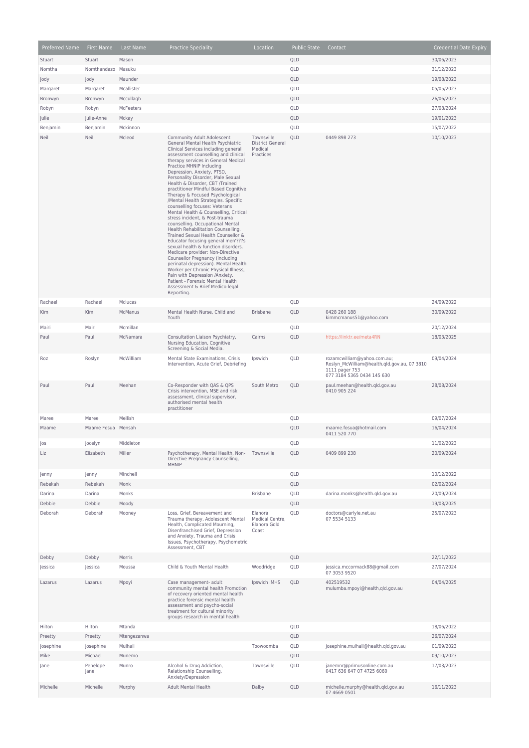| Preferred Name    | First Name           | Last Name              | <b>Practice Speciality</b>                                                                                                                                                                                                                                                                                                                                                                                                                                                                                                                                                                                                     | Location                                                      | <b>Public State</b> | Contact                                                                                                                    | <b>Credential Date Expiry</b> |
|-------------------|----------------------|------------------------|--------------------------------------------------------------------------------------------------------------------------------------------------------------------------------------------------------------------------------------------------------------------------------------------------------------------------------------------------------------------------------------------------------------------------------------------------------------------------------------------------------------------------------------------------------------------------------------------------------------------------------|---------------------------------------------------------------|---------------------|----------------------------------------------------------------------------------------------------------------------------|-------------------------------|
| Stuart            | Stuart               | Mason                  |                                                                                                                                                                                                                                                                                                                                                                                                                                                                                                                                                                                                                                |                                                               | QLD                 |                                                                                                                            | 30/06/2023                    |
| Nomtha            | Nomthandazo          | Masuku                 |                                                                                                                                                                                                                                                                                                                                                                                                                                                                                                                                                                                                                                |                                                               | QLD                 |                                                                                                                            | 31/12/2023                    |
| Jody              | Jody                 | Maunder                |                                                                                                                                                                                                                                                                                                                                                                                                                                                                                                                                                                                                                                |                                                               | QLD                 |                                                                                                                            | 19/08/2023                    |
| Margaret          | Margaret             | Mcallister             |                                                                                                                                                                                                                                                                                                                                                                                                                                                                                                                                                                                                                                |                                                               | QLD                 |                                                                                                                            | 05/05/2023                    |
| Bronwyn           | Bronwyn              | Mccullagh              |                                                                                                                                                                                                                                                                                                                                                                                                                                                                                                                                                                                                                                |                                                               | QLD                 |                                                                                                                            | 26/06/2023                    |
| Robyn             | Robyn                | McFeeters              |                                                                                                                                                                                                                                                                                                                                                                                                                                                                                                                                                                                                                                |                                                               | QLD                 |                                                                                                                            | 27/08/2024                    |
| Julie             | Julie-Anne           | Mckay                  |                                                                                                                                                                                                                                                                                                                                                                                                                                                                                                                                                                                                                                |                                                               | QLD                 |                                                                                                                            | 19/01/2023                    |
| Benjamin          | Benjamin             | Mckinnon               |                                                                                                                                                                                                                                                                                                                                                                                                                                                                                                                                                                                                                                |                                                               | QLD                 |                                                                                                                            | 15/07/2022                    |
| Neil              | Neil                 | Mcleod                 | Community Adult Adolescent<br>General Mental Health Psychiatric<br>Clinical Services including general<br>assessment counselling and clinical<br>therapy services in General Medical<br>Practice MHNIP Including<br>Depression, Anxiety, PTSD,<br>Personality Disorder, Male Sexual<br>Health & Disorder, CBT /Trained<br>practitioner Mindful Based Cognitive<br>Therapy & Focused Psychological<br>/Mental Health Strategies. Specific<br>counselling focuses: Veterans<br>Mental Health & Counselling, Critical<br>stress incident, & Post-trauma<br>counselling. Occupational Mental<br>Health Rehabilitation Counselling. | Townsville<br><b>District General</b><br>Medical<br>Practices | QLD                 | 0449 898 273                                                                                                               | 10/10/2023                    |
|                   |                      |                        | Trained Sexual Health Counsellor &<br>Educator focusing general men'???s<br>sexual health & function disorders.<br>Medicare provider: Non-Directive<br>Counsellor Pregnancy (including<br>perinatal depression). Mental Health<br>Worker per Chronic Physical Illness,<br>Pain with Depression /Anxiety.<br>Patient - Forensic Mental Health<br>Assessment & Brief Medico-legal<br>Reporting.                                                                                                                                                                                                                                  |                                                               |                     |                                                                                                                            |                               |
| Rachael           | Rachael              | Mclucas                |                                                                                                                                                                                                                                                                                                                                                                                                                                                                                                                                                                                                                                |                                                               | QLD                 |                                                                                                                            | 24/09/2022                    |
| Kim               | Kim                  | McManus                | Mental Health Nurse, Child and<br>Youth                                                                                                                                                                                                                                                                                                                                                                                                                                                                                                                                                                                        | <b>Brisbane</b>                                               | QLD                 | 0428 260 188<br>kimmcmanus51@yahoo.com                                                                                     | 30/09/2022                    |
| Mairi             | Mairi                | Mcmillan               |                                                                                                                                                                                                                                                                                                                                                                                                                                                                                                                                                                                                                                |                                                               | QLD                 |                                                                                                                            | 20/12/2024                    |
| Paul              | Paul                 | McNamara               | Consultation Liaison Psychiatry,<br>Nursing Education, Cognitive<br>Screening & Social Media.                                                                                                                                                                                                                                                                                                                                                                                                                                                                                                                                  | Cairns                                                        | QLD                 | https://linktr.ee/meta4RN                                                                                                  | 18/03/2025                    |
| Roz               | Roslyn               | McWilliam              | Mental State Examinations, Crisis<br>Intervention, Acute Grief, Debriefing                                                                                                                                                                                                                                                                                                                                                                                                                                                                                                                                                     | Ipswich                                                       | QLD                 | rozamcwilliam@yahoo.com.au;<br>Roslyn McWilliam@health.gld.gov.au, 07 3810<br>1111 pager 753<br>077 3184 5365 0434 145 630 | 09/04/2024                    |
| Paul              | Paul                 | Meehan                 | Co-Responder with QAS & QPS<br>Crisis intervention, MSE and risk<br>assessment, clinical supervisor,<br>authorised mental health<br>practitioner                                                                                                                                                                                                                                                                                                                                                                                                                                                                               | South Metro                                                   | QLD                 | paul.meehan@health.qld.gov.au<br>0410 905 224                                                                              | 28/08/2024                    |
| Maree             | Maree                | Mellish                |                                                                                                                                                                                                                                                                                                                                                                                                                                                                                                                                                                                                                                |                                                               | QLD                 |                                                                                                                            | 09/07/2024                    |
| Maame             | Maame Fosua Mensah   |                        |                                                                                                                                                                                                                                                                                                                                                                                                                                                                                                                                                                                                                                |                                                               | QLD                 | maame.fosua@hotmail.com<br>0411 520 770                                                                                    | 16/04/2024                    |
| Jos               | Jocelyn              | Middleton              |                                                                                                                                                                                                                                                                                                                                                                                                                                                                                                                                                                                                                                |                                                               | QLD                 |                                                                                                                            | 11/02/2023                    |
| Liz               | Elizabeth            | Miller                 | Psychotherapy, Mental Health, Non- Townsville<br>Directive Pregnancy Counselling,<br>MHNIP                                                                                                                                                                                                                                                                                                                                                                                                                                                                                                                                     |                                                               | QLD                 | 0409 899 238                                                                                                               | 20/09/2024                    |
| Jenny             | Jenny                | Minchell               |                                                                                                                                                                                                                                                                                                                                                                                                                                                                                                                                                                                                                                |                                                               | QLD                 |                                                                                                                            | 10/12/2022                    |
| Rebekah           | Rebekah              | Monk                   |                                                                                                                                                                                                                                                                                                                                                                                                                                                                                                                                                                                                                                |                                                               | QLD                 |                                                                                                                            | 02/02/2024                    |
| Darina            | Darina               | Monks                  |                                                                                                                                                                                                                                                                                                                                                                                                                                                                                                                                                                                                                                | <b>Brisbane</b>                                               | QLD                 | darina.monks@health.gld.gov.au                                                                                             | 20/09/2024                    |
| Debbie            | Debbie               | Moody                  |                                                                                                                                                                                                                                                                                                                                                                                                                                                                                                                                                                                                                                |                                                               | QLD                 |                                                                                                                            | 19/03/2025                    |
| Deborah           | Deborah              | Mooney                 | Loss, Grief, Bereavement and<br>Trauma therapy, Adolescent Mental<br>Health, Complicated Mourning,<br>Disenfranchised Grief, Depression<br>and Anxiety, Trauma and Crisis<br>Issues, Psychotherapy, Psychometric<br>Assessment, CBT                                                                                                                                                                                                                                                                                                                                                                                            | Elanora<br>Medical Centre,<br>Elanora Gold<br>Coast           | QLD                 | doctors@carlyle.net.au<br>07 5534 5133                                                                                     | 25/07/2023                    |
| Debby             | Debby                | Morris                 |                                                                                                                                                                                                                                                                                                                                                                                                                                                                                                                                                                                                                                |                                                               | QLD                 |                                                                                                                            | 22/11/2022                    |
| Jessica           | Jessica              | Moussa                 | Child & Youth Mental Health                                                                                                                                                                                                                                                                                                                                                                                                                                                                                                                                                                                                    | Woodridge                                                     | QLD                 | jessica.mccormack88@gmail.com<br>07 3053 9520                                                                              | 27/07/2024                    |
| Lazarus           | Lazarus              | Mpoyi                  | Case management- adult<br>community mental health Promotion<br>of recovery oriented mental health<br>practice forensic mental health<br>assessment and psycho-social<br>treatment for cultural minority<br>groups research in mental health                                                                                                                                                                                                                                                                                                                                                                                    | Ipswich IMHS                                                  | QLD                 | 402519532<br>mulumba.mpoyi@health,qld.gov.au                                                                               | 04/04/2025                    |
| Hilton            | Hilton               | Mtanda                 |                                                                                                                                                                                                                                                                                                                                                                                                                                                                                                                                                                                                                                |                                                               | QLD                 |                                                                                                                            | 18/06/2022                    |
| Preetty           | Preetty              | Mtengezanwa<br>Mulhall |                                                                                                                                                                                                                                                                                                                                                                                                                                                                                                                                                                                                                                | Toowoomba                                                     | QLD                 |                                                                                                                            | 26/07/2024                    |
| Josephine<br>Mike | Josephine<br>Michael | Munemo                 |                                                                                                                                                                                                                                                                                                                                                                                                                                                                                                                                                                                                                                |                                                               | QLD<br>QLD          | josephine.mulhall@health.qld.gov.au                                                                                        | 01/09/2023<br>09/10/2023      |
| Jane              | Penelope<br>Jane     | Munro                  | Alcohol & Drug Addiction,<br>Relationship Counselling,                                                                                                                                                                                                                                                                                                                                                                                                                                                                                                                                                                         | Townsville                                                    | QLD                 | janemnr@primusonline.com.au<br>0417 636 647 07 4725 6060                                                                   | 17/03/2023                    |
| Michelle          | Michelle             | Murphy                 | Anxiety/Depression<br><b>Adult Mental Health</b>                                                                                                                                                                                                                                                                                                                                                                                                                                                                                                                                                                               | Dalby                                                         | QLD                 | michelle.murphy@health.qld.gov.au                                                                                          | 16/11/2023                    |
|                   |                      |                        |                                                                                                                                                                                                                                                                                                                                                                                                                                                                                                                                                                                                                                |                                                               |                     | 07 4669 0501                                                                                                               |                               |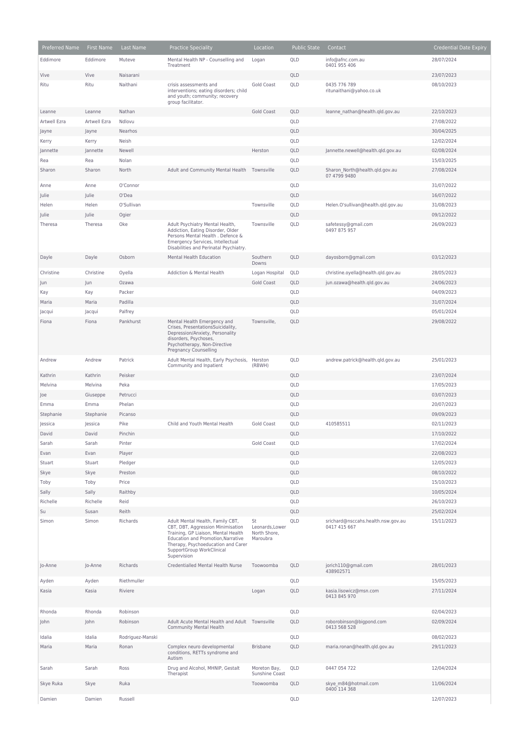| Preferred Name | First Name     | Last Name         | <b>Practice Speciality</b>                                                                                                                                                                                                           | Location                                          | <b>Public State</b> | Contact                                            | <b>Credential Date Expiry</b> |
|----------------|----------------|-------------------|--------------------------------------------------------------------------------------------------------------------------------------------------------------------------------------------------------------------------------------|---------------------------------------------------|---------------------|----------------------------------------------------|-------------------------------|
| Eddimore       | Eddimore       | Muteve            | Mental Health NP - Counselling and                                                                                                                                                                                                   | Logan                                             | QLD                 | info@afnc.com.au                                   | 28/07/2024                    |
| Vive           | Vive           | Naisarani         | Treatment                                                                                                                                                                                                                            |                                                   | QLD                 | 0401 955 406                                       | 23/07/2023                    |
| Ritu           | Ritu           | Naithani          | crisis assessments and                                                                                                                                                                                                               | Gold Coast                                        | QLD                 | 0435 776 789                                       | 08/10/2023                    |
|                |                |                   | interventions; eating disorders; child<br>and youth; community; recovery<br>group facilitator.                                                                                                                                       |                                                   |                     | ritunaithani@yahoo.co.uk                           |                               |
| Leanne         | Leanne         | Nathan            |                                                                                                                                                                                                                                      | <b>Gold Coast</b>                                 | QLD                 | leanne nathan@health.qld.gov.au                    | 22/10/2023                    |
| Artwell Ezra   | Artwell Ezra   | Ndlovu            |                                                                                                                                                                                                                                      |                                                   | QLD                 |                                                    | 27/08/2022                    |
| Jayne          | Jayne          | Nearhos           |                                                                                                                                                                                                                                      |                                                   | QLD                 |                                                    | 30/04/2025                    |
| Kerry          | Kerry          | Neish             |                                                                                                                                                                                                                                      |                                                   | QLD                 |                                                    | 12/02/2024                    |
| Jannette       | Jannette       | Newell            |                                                                                                                                                                                                                                      | Herston                                           | QLD                 | Jannette.newell@health.qld.gov.au                  | 02/08/2024                    |
| Rea            | Rea            | Nolan             |                                                                                                                                                                                                                                      |                                                   | QLD                 |                                                    | 15/03/2025                    |
| Sharon         | Sharon         | North             | Adult and Community Mental Health                                                                                                                                                                                                    | Townsville                                        | QLD                 | Sharon North@health.qld.gov.au<br>07 4799 9480     | 27/08/2024                    |
| Anne           | Anne           | O'Connor<br>O'Dea |                                                                                                                                                                                                                                      |                                                   | QLD<br>QLD          |                                                    | 31/07/2022                    |
| Julie<br>Helen | Julie<br>Helen | O'Sullivan        |                                                                                                                                                                                                                                      | Townsville                                        | QLD                 | Helen.O'sullivan@health.qld.gov.au                 | 16/07/2022<br>31/08/2023      |
| Julie          | Julie          | Ogier             |                                                                                                                                                                                                                                      |                                                   | QLD                 |                                                    | 09/12/2022                    |
| Theresa        | Theresa        | Oke               | Adult Psychiatry Mental Health,                                                                                                                                                                                                      | Townsville                                        | QLD                 | safetessy@gmail.com                                | 26/09/2023                    |
|                |                |                   | Addiction, Eating Disorder, Older<br>Persons Mental Health . Defence &<br>Emergency Services, Intellectual<br>Disabilities and Perinatal Psychiatry.                                                                                 |                                                   |                     | 0497 875 957                                       |                               |
| Dayle          | Dayle          | Osborn            | Mental Health Education                                                                                                                                                                                                              | Southern<br>Downs                                 | QLD                 | dayosborn@gmail.com                                | 03/12/2023                    |
| Christine      | Christine      | Oyella            | Addiction & Mental Health                                                                                                                                                                                                            | Logan Hospital                                    | QLD                 | christine.oyella@health.qld.gov.au                 | 28/05/2023                    |
| Jun            | Jun            | Ozawa             |                                                                                                                                                                                                                                      | <b>Gold Coast</b>                                 | QLD                 | jun.ozawa@health.gld.gov.au                        | 24/06/2023                    |
| Kay            | Kay            | Packer            |                                                                                                                                                                                                                                      |                                                   | QLD                 |                                                    | 04/09/2023                    |
| Maria          | Maria          | Padilla           |                                                                                                                                                                                                                                      |                                                   | QLD                 |                                                    | 31/07/2024                    |
| Jacqui         | Jacqui         | Palfrey           |                                                                                                                                                                                                                                      |                                                   | QLD                 |                                                    | 05/01/2024                    |
| Fiona          | Fiona          | Pankhurst         | Mental Health Emergency and<br>Crises, PresentationsSuicidality,<br>Depression/Anxiety, Personality<br>disorders, Psychoses,<br>Psychotherapy, Non-Directive<br><b>Pregnancy Counselling</b>                                         | Townsville,                                       | QLD                 |                                                    | 29/08/2022                    |
| Andrew         | Andrew         | Patrick           | Adult Mental Health, Early Psychosis,<br>Community and Inpatient                                                                                                                                                                     | Herston<br>(RBWH)                                 | QLD                 | andrew.patrick@health.qld.gov.au                   | 25/01/2023                    |
| Kathrin        | Kathrin        | Peisker           |                                                                                                                                                                                                                                      |                                                   | QLD                 |                                                    | 23/07/2024                    |
| Melvina        | Melvina        | Peka              |                                                                                                                                                                                                                                      |                                                   | QLD                 |                                                    | 17/05/2023                    |
| Joe            | Giuseppe       | Petrucci          |                                                                                                                                                                                                                                      |                                                   | QLD                 |                                                    | 03/07/2023                    |
| Emma           | Emma           | Phelan            |                                                                                                                                                                                                                                      |                                                   | QLD                 |                                                    | 20/07/2023                    |
| Stephanie      | Stephanie      | Picanso           |                                                                                                                                                                                                                                      |                                                   | QLD                 |                                                    | 09/09/2023                    |
| Jessica        | Jessica        | Pike              | Child and Youth Mental Health                                                                                                                                                                                                        | Gold Coast                                        | QLD                 | 410585511                                          | 02/11/2023                    |
| David          | David          | Pinchin           |                                                                                                                                                                                                                                      |                                                   | QLD                 |                                                    | 17/10/2022                    |
| Sarah          | Sarah          | Pinter            |                                                                                                                                                                                                                                      | <b>Gold Coast</b>                                 | QLD                 |                                                    | 17/02/2024                    |
| Evan           | Evan           | Player            |                                                                                                                                                                                                                                      |                                                   | QLD                 |                                                    | 22/08/2023                    |
| Stuart         | Stuart         | Pledger           |                                                                                                                                                                                                                                      |                                                   | QLD                 |                                                    | 12/05/2023                    |
| Skye           | Skye           | Preston<br>Price  |                                                                                                                                                                                                                                      |                                                   | QLD<br>QLD          |                                                    | 08/10/2022<br>15/10/2023      |
| Toby<br>Sally  | Toby<br>Sally  | Raithby           |                                                                                                                                                                                                                                      |                                                   | QLD                 |                                                    | 10/05/2024                    |
| Richelle       | Richelle       | Reid              |                                                                                                                                                                                                                                      |                                                   | QLD                 |                                                    | 26/10/2023                    |
| Su             | Susan          | Reith             |                                                                                                                                                                                                                                      |                                                   | QLD                 |                                                    | 25/02/2024                    |
| Simon          | Simon          | Richards          | Adult Mental Health, Family CBT,<br>CBT, DBT, Aggression Minimisation<br>Training, GP Liaison, Mental Health<br>Education and Promotion, Narrative<br>Therapy, Psychoeducation and Carer<br>SupportGroup WorkClinical<br>Supervision | St<br>Leonards, Lower<br>North Shore,<br>Maroubra | QLD                 | srichard@nsccahs.health.nsw.gov.au<br>0417 415 667 | 15/11/2023                    |
| Jo-Anne        | Jo-Anne        | Richards          | Credentialled Mental Health Nurse                                                                                                                                                                                                    | Toowoomba                                         | QLD                 | jorich110@gmail.com<br>438902571                   | 28/01/2023                    |
| Ayden          | Ayden          | Riethmuller       |                                                                                                                                                                                                                                      |                                                   | QLD                 |                                                    | 15/05/2023                    |
| Kasia          | Kasia          | Riviere           |                                                                                                                                                                                                                                      | Logan                                             | QLD                 | kasia.lisowicz@msn.com<br>0413 845 970             | 27/11/2024                    |
| Rhonda         | Rhonda         | Robinson          |                                                                                                                                                                                                                                      |                                                   | QLD                 |                                                    | 02/04/2023                    |
| John           | John           | Robinson          | Adult Acute Mental Health and Adult Townsville<br>Community Mental Health                                                                                                                                                            |                                                   | QLD                 | roborobinson@bigpond.com<br>0413 568 528           | 02/09/2024                    |
| Idalia         | Idalia         | Rodriguez-Manski  |                                                                                                                                                                                                                                      |                                                   | QLD                 |                                                    | 08/02/2023                    |
| Maria          | Maria          | Ronan             | Complex neuro developmental<br>conditions, RETTs syndrome and                                                                                                                                                                        | <b>Brisbane</b>                                   | QLD                 | maria.ronan@health.qld.gov.au                      | 29/11/2023                    |
| Sarah          | Sarah          | Ross              | Autism<br>Drug and Alcohol, MHNIP, Gestalt                                                                                                                                                                                           | Moreton Bay,                                      | QLD                 | 0447 054 722                                       | 12/04/2024                    |
| Skye Ruka      | Skye           | Ruka              | Therapist                                                                                                                                                                                                                            | Sunshine Coast<br>Toowoomba                       | QLD                 | skye m84@hotmail.com                               | 11/06/2024                    |
| Damien         | Damien         | Russell           |                                                                                                                                                                                                                                      |                                                   | QLD                 | 0400 114 368                                       | 12/07/2023                    |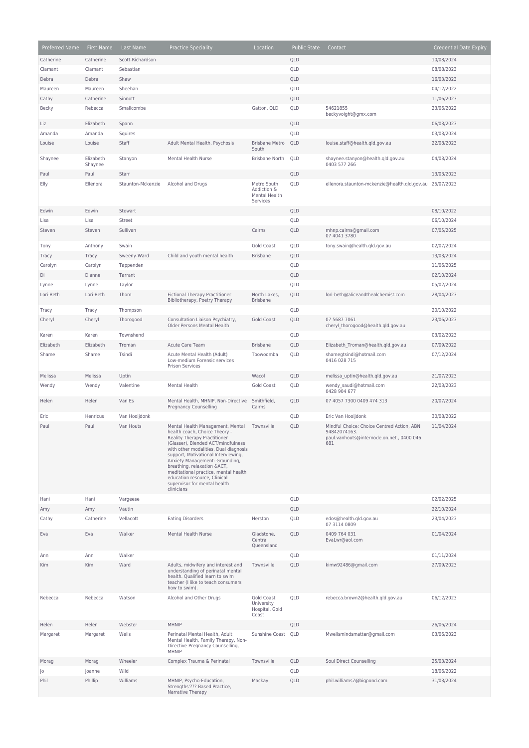| Preferred Name | First Name           | Last Name         | <b>Practice Speciality</b>                                                                                                                                                                                                                                                                                                                                                                                     | Location                                                | <b>Public State</b> | Contact                                                                                                        | <b>Credential Date Expiry</b> |
|----------------|----------------------|-------------------|----------------------------------------------------------------------------------------------------------------------------------------------------------------------------------------------------------------------------------------------------------------------------------------------------------------------------------------------------------------------------------------------------------------|---------------------------------------------------------|---------------------|----------------------------------------------------------------------------------------------------------------|-------------------------------|
| Catherine      | Catherine            | Scott-Richardson  |                                                                                                                                                                                                                                                                                                                                                                                                                |                                                         | QLD                 |                                                                                                                | 10/08/2024                    |
| Clamant        | Clamant              | Sebastian         |                                                                                                                                                                                                                                                                                                                                                                                                                |                                                         | QLD                 |                                                                                                                | 08/08/2023                    |
| Debra          | Debra                | Shaw              |                                                                                                                                                                                                                                                                                                                                                                                                                |                                                         | QLD                 |                                                                                                                | 16/03/2023                    |
| Maureen        | Maureen              | Sheehan           |                                                                                                                                                                                                                                                                                                                                                                                                                |                                                         | QLD                 |                                                                                                                | 04/12/2022                    |
| Cathy          | Catherine            | Sinnott           |                                                                                                                                                                                                                                                                                                                                                                                                                |                                                         | QLD                 |                                                                                                                | 11/06/2023                    |
| Becky          | Rebecca              | Smallcombe        |                                                                                                                                                                                                                                                                                                                                                                                                                | Gatton, QLD                                             | QLD                 | 54621855<br>beckyvoight@gmx.com                                                                                | 23/06/2022                    |
| Liz            | Elizabeth            | Spann             |                                                                                                                                                                                                                                                                                                                                                                                                                |                                                         | QLD                 |                                                                                                                | 06/03/2023                    |
| Amanda         | Amanda               | Squires           |                                                                                                                                                                                                                                                                                                                                                                                                                |                                                         | QLD                 |                                                                                                                | 03/03/2024                    |
| Louise         | Louise               | Staff             | Adult Mental Health, Psychosis                                                                                                                                                                                                                                                                                                                                                                                 | <b>Brisbane Metro</b><br>South                          | QLD                 | louise.staff@health.qld.gov.au                                                                                 | 22/08/2023                    |
| Shaynee        | Elizabeth<br>Shaynee | Stanyon           | Mental Health Nurse                                                                                                                                                                                                                                                                                                                                                                                            | <b>Brisbane North</b>                                   | QLD                 | shaynee.stanyon@health.qld.gov.au<br>0403 577 266                                                              | 04/03/2024                    |
| Paul           | Paul                 | Starr             |                                                                                                                                                                                                                                                                                                                                                                                                                |                                                         | QLD                 |                                                                                                                | 13/03/2023                    |
| Elly           | Ellenora             | Staunton-Mckenzie | Alcohol and Drugs                                                                                                                                                                                                                                                                                                                                                                                              | Metro South<br>Addiction &<br>Mental Health<br>Services | QLD                 | ellenora.staunton-mckenzie@health.qld.gov.au 25/07/2023                                                        |                               |
| Edwin          | Edwin                | Stewart           |                                                                                                                                                                                                                                                                                                                                                                                                                |                                                         | QLD                 |                                                                                                                | 08/10/2022                    |
| Lisa           | Lisa                 | Street            |                                                                                                                                                                                                                                                                                                                                                                                                                |                                                         | QLD                 |                                                                                                                | 06/10/2024                    |
| Steven         | Steven               | Sullivan          |                                                                                                                                                                                                                                                                                                                                                                                                                | Cairns                                                  | QLD                 | mhnp.cairns@gmail.com<br>07 4041 3780                                                                          | 07/05/2025                    |
| Tony           | Anthony              | Swain             |                                                                                                                                                                                                                                                                                                                                                                                                                | <b>Gold Coast</b>                                       | QLD                 | tony.swain@health.qld.gov.au                                                                                   | 02/07/2024                    |
| Tracy          | Tracy                | Sweeny-Ward       | Child and youth mental health                                                                                                                                                                                                                                                                                                                                                                                  | <b>Brisbane</b>                                         | QLD                 |                                                                                                                | 13/03/2024                    |
| Carolyn        | Carolyn              | Tappenden         |                                                                                                                                                                                                                                                                                                                                                                                                                |                                                         | QLD                 |                                                                                                                | 11/06/2025                    |
| Di             | Dianne               | Tarrant           |                                                                                                                                                                                                                                                                                                                                                                                                                |                                                         | QLD                 |                                                                                                                | 02/10/2024                    |
| Lynne          | Lynne                | Taylor            |                                                                                                                                                                                                                                                                                                                                                                                                                |                                                         | QLD                 |                                                                                                                | 05/02/2024                    |
| Lori-Beth      | Lori-Beth            | Thom              | Fictional Therapy Practitioner<br>Bibliotherapy, Poetry Therapy                                                                                                                                                                                                                                                                                                                                                | North Lakes,<br><b>Brisbane</b>                         | QLD                 | lori-beth@aliceandthealchemist.com                                                                             | 28/04/2023                    |
| Tracy          | Tracy                | Thompson          |                                                                                                                                                                                                                                                                                                                                                                                                                |                                                         | QLD                 |                                                                                                                | 20/10/2022                    |
| Cheryl         | Cheryl               | Thorogood         | Consultation Liaison Psychiatry,<br>Older Persons Mental Health                                                                                                                                                                                                                                                                                                                                                | Gold Coast                                              | QLD                 | 07 5687 7061<br>cheryl thorogood@health.qld.gov.au                                                             | 23/06/2023                    |
| Karen          | Karen                | Townshend         |                                                                                                                                                                                                                                                                                                                                                                                                                |                                                         | QLD                 |                                                                                                                | 03/02/2023                    |
| Elizabeth      | Elizabeth            | Troman            | Acute Care Team                                                                                                                                                                                                                                                                                                                                                                                                | <b>Brisbane</b>                                         | QLD                 | Elizabeth_Troman@health.qld.gov.au                                                                             | 07/09/2022                    |
| Shame          | Shame                | Tsindi            | Acute Mental Health (Adult)<br>Low-medium Forensic services<br><b>Prison Services</b>                                                                                                                                                                                                                                                                                                                          | Toowoomba                                               | QLD                 | shamegtsindi@hotmail.com<br>0416 028 715                                                                       | 07/12/2024                    |
| Melissa        | Melissa              | Uptin             |                                                                                                                                                                                                                                                                                                                                                                                                                | Wacol                                                   | QLD                 | melissa_uptin@health.qld.gov.au                                                                                | 21/07/2023                    |
| Wendy          | Wendy                | Valentine         | Mental Health                                                                                                                                                                                                                                                                                                                                                                                                  | <b>Gold Coast</b>                                       | QLD                 | wendy_saudi@hotmail.com<br>0428 904 677                                                                        | 22/03/2023                    |
| Helen          | Helen                | Van Es            | Mental Health, MHNIP, Non-Directive<br>Pregnancy Counselling                                                                                                                                                                                                                                                                                                                                                   | Smithfield,<br>Cairns                                   | QLD                 | 07 4057 7300 0409 474 313                                                                                      | 20/07/2024                    |
| Eric           | Henricus             | Van Hooijdonk     |                                                                                                                                                                                                                                                                                                                                                                                                                |                                                         | QLD                 | Eric Van Hooijdonk                                                                                             | 30/08/2022                    |
| Paul           | Paul                 | Van Houts         | Mental Health Management, Mental<br>health coach, Choice Theory -<br>Reality Therapy Practitioner<br>(Glasser), Blended ACT/mindfulness<br>with other modalities, Dual diagnosis<br>support, Motivational Interviewing,<br>Anxiety Management: Grounding,<br>breathing, relaxation &ACT,<br>meditational practice, mental health<br>education resource, Clinical<br>supervisor for mental health<br>clinicians | Townsville                                              | QLD                 | Mindful Choice: Choice Centred Action, ABN<br>94842074163.<br>paul.vanhouts@internode.on.net., 0400 046<br>681 | 11/04/2024                    |
| Hani           | Hani                 | Vargeese          |                                                                                                                                                                                                                                                                                                                                                                                                                |                                                         | QLD                 |                                                                                                                | 02/02/2025                    |
| Amy            | Amy                  | Vautin            |                                                                                                                                                                                                                                                                                                                                                                                                                |                                                         | QLD                 |                                                                                                                | 22/10/2024                    |
| Cathy          | Catherine            | Vellacott         | <b>Eating Disorders</b>                                                                                                                                                                                                                                                                                                                                                                                        | Herston                                                 | QLD                 | edos@health.qld.gov.au<br>07 3114 0809                                                                         | 23/04/2023                    |
| Eva            | Eva                  | Walker            | Mental Health Nurse                                                                                                                                                                                                                                                                                                                                                                                            | Gladstone,<br>Central<br>Oueensland                     | QLD                 | 0409 764 031<br>EvaLwr@aol.com                                                                                 | 01/04/2024                    |
| Ann            | Ann                  | Walker            |                                                                                                                                                                                                                                                                                                                                                                                                                |                                                         | QLD                 |                                                                                                                | 01/11/2024                    |
| Kim            | Kim                  | Ward              | Adults, midwifery and interest and<br>understanding of perinatal mental<br>health. Qualified learn to swim<br>teacher (I like to teach consumers<br>how to swim).                                                                                                                                                                                                                                              | Townsville                                              | QLD                 | kimw92486@gmail.com                                                                                            | 27/09/2023                    |
| Rebecca        | Rebecca              | Watson            | Alcohol and Other Drugs                                                                                                                                                                                                                                                                                                                                                                                        | Gold Coast<br>University<br>Hospital, Gold<br>Coast     | QLD                 | rebecca.brown2@health.qld.gov.au                                                                               | 06/12/2023                    |
| Helen          | Helen                | Webster           | MHNIP                                                                                                                                                                                                                                                                                                                                                                                                          |                                                         | QLD                 |                                                                                                                | 26/06/2024                    |
| Margaret       | Margaret             | Wells             | Perinatal Mental Health, Adult<br>Mental Health, Family Therapy, Non-<br>Directive Pregnancy Counselling,<br>MHNIP                                                                                                                                                                                                                                                                                             | Sunshine Coast QLD                                      |                     | Mwellsmindsmatter@gmail.com                                                                                    | 03/06/2023                    |
| Morag          | Morag                | Wheeler           | Complex Trauma & Perinatal                                                                                                                                                                                                                                                                                                                                                                                     | Townsville                                              | QLD                 | Soul Direct Counselling                                                                                        | 25/03/2024                    |
| Jo             | Joanne               | Wild              |                                                                                                                                                                                                                                                                                                                                                                                                                |                                                         | QLD                 |                                                                                                                | 18/06/2022                    |
| Phil           | Phillip              | Williams          | MHNIP, Psycho-Education,<br>Strengths'??? Based Practice,<br>Narrative Therapy                                                                                                                                                                                                                                                                                                                                 | Mackay                                                  | QLD                 | phil.williams7@bigpond.com                                                                                     | 31/03/2024                    |